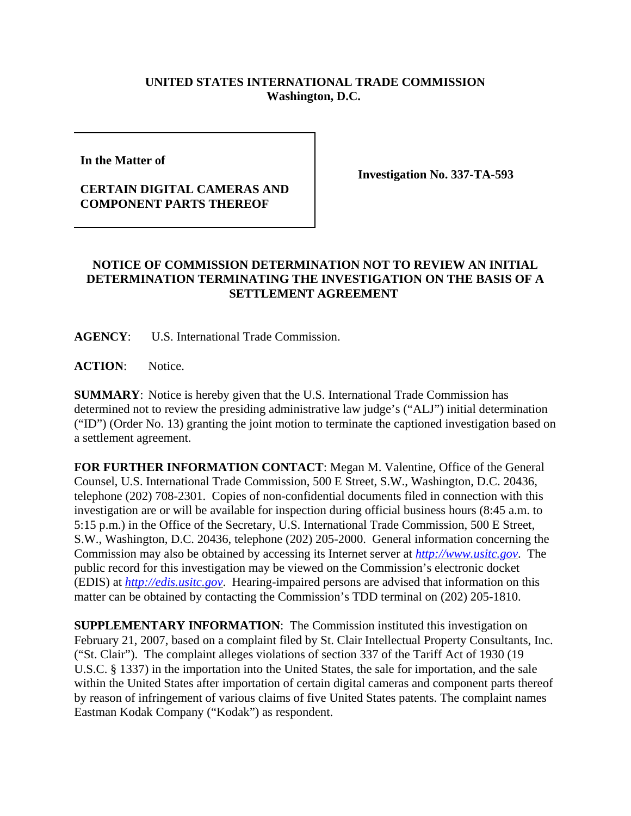## **UNITED STATES INTERNATIONAL TRADE COMMISSION Washington, D.C.**

**In the Matter of** 

## **CERTAIN DIGITAL CAMERAS AND COMPONENT PARTS THEREOF**

**Investigation No. 337-TA-593**

## **NOTICE OF COMMISSION DETERMINATION NOT TO REVIEW AN INITIAL DETERMINATION TERMINATING THE INVESTIGATION ON THE BASIS OF A SETTLEMENT AGREEMENT**

**AGENCY**: U.S. International Trade Commission.

**ACTION**: Notice.

**SUMMARY**: Notice is hereby given that the U.S. International Trade Commission has determined not to review the presiding administrative law judge's ("ALJ") initial determination ("ID") (Order No. 13) granting the joint motion to terminate the captioned investigation based on a settlement agreement.

**FOR FURTHER INFORMATION CONTACT**: Megan M. Valentine, Office of the General Counsel, U.S. International Trade Commission, 500 E Street, S.W., Washington, D.C. 20436, telephone (202) 708-2301. Copies of non-confidential documents filed in connection with this investigation are or will be available for inspection during official business hours (8:45 a.m. to 5:15 p.m.) in the Office of the Secretary, U.S. International Trade Commission, 500 E Street, S.W., Washington, D.C. 20436, telephone (202) 205-2000. General information concerning the Commission may also be obtained by accessing its Internet server at *http://www.usitc.gov*. The public record for this investigation may be viewed on the Commission's electronic docket (EDIS) at *http://edis.usitc.gov*. Hearing-impaired persons are advised that information on this matter can be obtained by contacting the Commission's TDD terminal on (202) 205-1810.

**SUPPLEMENTARY INFORMATION**: The Commission instituted this investigation on February 21, 2007, based on a complaint filed by St. Clair Intellectual Property Consultants, Inc. ("St. Clair"). The complaint alleges violations of section 337 of the Tariff Act of 1930 (19 U.S.C. § 1337) in the importation into the United States, the sale for importation, and the sale within the United States after importation of certain digital cameras and component parts thereof by reason of infringement of various claims of five United States patents. The complaint names Eastman Kodak Company ("Kodak") as respondent.